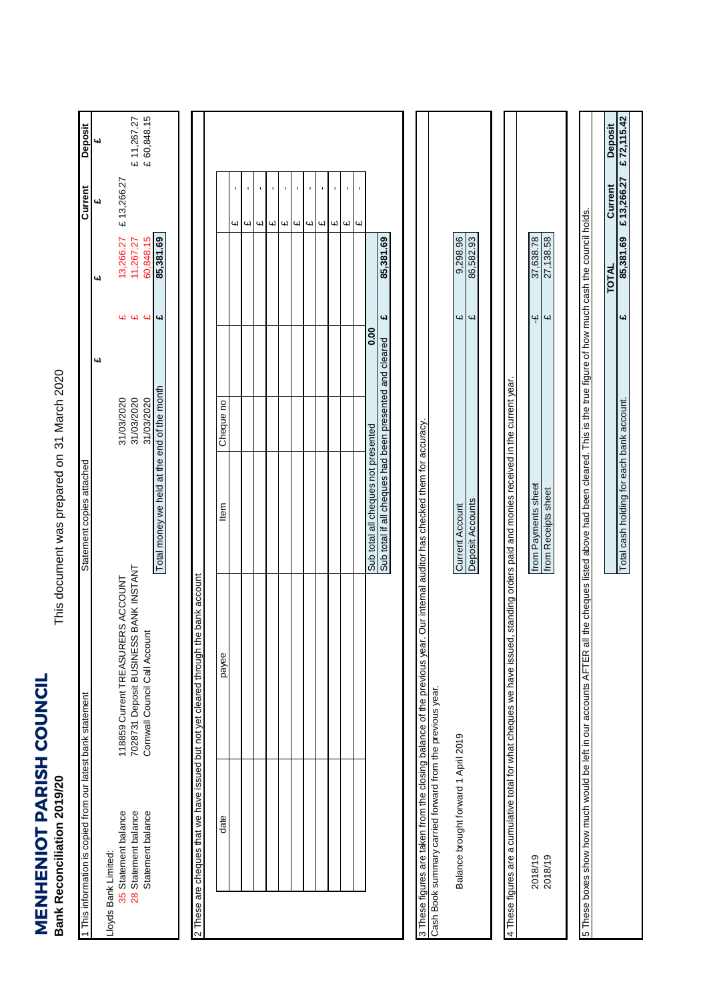**MENHENIOT PARISH COUNCIL**<br>Bank Reconciliation 2019/20 **MENHENIOT PARISH COUNCIL Bank Reconciliation 2019/20**

This document was prepared on 31 March 2020 31 March 2020 This document was prepared on

| 1 This information is copied from our latest bank statement         |                                                                                                                                                                                           | Statement copies attached                               |            |                         |              | Current                                   | Deposit                 |
|---------------------------------------------------------------------|-------------------------------------------------------------------------------------------------------------------------------------------------------------------------------------------|---------------------------------------------------------|------------|-------------------------|--------------|-------------------------------------------|-------------------------|
| Lloyds Bank Limited:                                                |                                                                                                                                                                                           |                                                         | یب         |                         | 4            | $\overline{\mathbf{u}}$                   | $\overline{\mathbf{u}}$ |
| 35 Statement balance                                                | 118859 Current TREASURERS ACCOUNT                                                                                                                                                         |                                                         | 31/03/2020 | W                       | 13,266.27    | £13,266.27                                |                         |
| 28 Statement balance                                                | 7028731 Deposit BUSINESS BANK INSTANT                                                                                                                                                     |                                                         | 31/03/2020 |                         | 11,267.27    |                                           | £ 11,267.27             |
| Statement balance                                                   | Cornwall Council Call Account                                                                                                                                                             |                                                         | 31/03/2020 | 44                      | 60,848.15    |                                           | £ 60,848.15             |
|                                                                     |                                                                                                                                                                                           | Total money we held at the end of the month             |            | $\overline{\mathbf{u}}$ | 85,381.69    |                                           |                         |
|                                                                     |                                                                                                                                                                                           |                                                         |            |                         |              |                                           |                         |
|                                                                     |                                                                                                                                                                                           |                                                         |            |                         |              |                                           |                         |
| 2 These are cheques that we have issued but not yet cleared through | the bank account                                                                                                                                                                          |                                                         |            |                         |              |                                           |                         |
| date                                                                | payee                                                                                                                                                                                     | ltem                                                    | Cheque no  |                         |              |                                           |                         |
|                                                                     |                                                                                                                                                                                           |                                                         |            |                         |              | $\blacksquare$<br>GЛ                      |                         |
|                                                                     |                                                                                                                                                                                           |                                                         |            |                         |              | $\blacksquare$<br>$\overline{\mathbf{u}}$ |                         |
|                                                                     |                                                                                                                                                                                           |                                                         |            |                         |              | ı<br>41                                   |                         |
|                                                                     |                                                                                                                                                                                           |                                                         |            |                         |              | $\mathbf{I}$<br>41                        |                         |
|                                                                     |                                                                                                                                                                                           |                                                         |            |                         |              | ×,<br>$\mathbf{u}$                        |                         |
|                                                                     |                                                                                                                                                                                           |                                                         |            |                         |              | J.<br>$\mathbf{u}$                        |                         |
|                                                                     |                                                                                                                                                                                           |                                                         |            |                         |              | $\blacksquare$<br>W                       |                         |
|                                                                     |                                                                                                                                                                                           |                                                         |            |                         |              | $\blacksquare$<br>Цl                      |                         |
|                                                                     |                                                                                                                                                                                           |                                                         |            |                         |              | $\blacksquare$<br>W                       |                         |
|                                                                     |                                                                                                                                                                                           |                                                         |            |                         |              | ı<br>4                                    |                         |
|                                                                     |                                                                                                                                                                                           |                                                         |            |                         |              | $\blacksquare$                            |                         |
|                                                                     |                                                                                                                                                                                           | Sub total all cheques not presented                     |            | 0.00                    |              |                                           |                         |
|                                                                     |                                                                                                                                                                                           | Sub total if all cheques had been presented and cleared |            | £                       | 85,381.69    |                                           |                         |
|                                                                     |                                                                                                                                                                                           |                                                         |            |                         |              |                                           |                         |
|                                                                     | 3 These figures are taken from the closing balance of the previous year. Our internal auditor has checked them for accuracy.<br>Cash Book summary carried forward from the previous year. |                                                         |            |                         |              |                                           |                         |
| Balance brought forward 1 April 2019                                |                                                                                                                                                                                           | <b>Current Account</b>                                  |            | 41                      | 9,298.96     |                                           |                         |
|                                                                     |                                                                                                                                                                                           |                                                         |            |                         |              |                                           |                         |
|                                                                     |                                                                                                                                                                                           | Deposit Accounts                                        |            | $\overline{u}$          | 86,582.93    |                                           |                         |
|                                                                     |                                                                                                                                                                                           |                                                         |            |                         |              |                                           |                         |
|                                                                     | 4 These figures are a cumulative total for what cheques we have issued, standing orders paid and monies received in the current year.                                                     |                                                         |            |                         |              |                                           |                         |
| 2018/19                                                             |                                                                                                                                                                                           | from Payments sheet                                     |            | ٩ł                      | 37,638.78    |                                           |                         |
| 2018/19                                                             |                                                                                                                                                                                           | from Receipts sheet                                     |            | $\omega$                | 27,138.58    |                                           |                         |
|                                                                     |                                                                                                                                                                                           |                                                         |            |                         |              |                                           |                         |
|                                                                     | 5 These boxes show how much would be left in our accounts AFTER all the cheques listed above had been cleared. This is the true figure of how much cash the council holds.                |                                                         |            |                         |              |                                           |                         |
|                                                                     |                                                                                                                                                                                           |                                                         |            |                         | <b>TOTAL</b> | Current                                   | <b>Deposit</b>          |
|                                                                     |                                                                                                                                                                                           | Total cash holding for each bank account.               |            | Щ                       | 85,381.69    | £13,266.27                                | £72,115.42              |
|                                                                     |                                                                                                                                                                                           |                                                         |            |                         |              |                                           |                         |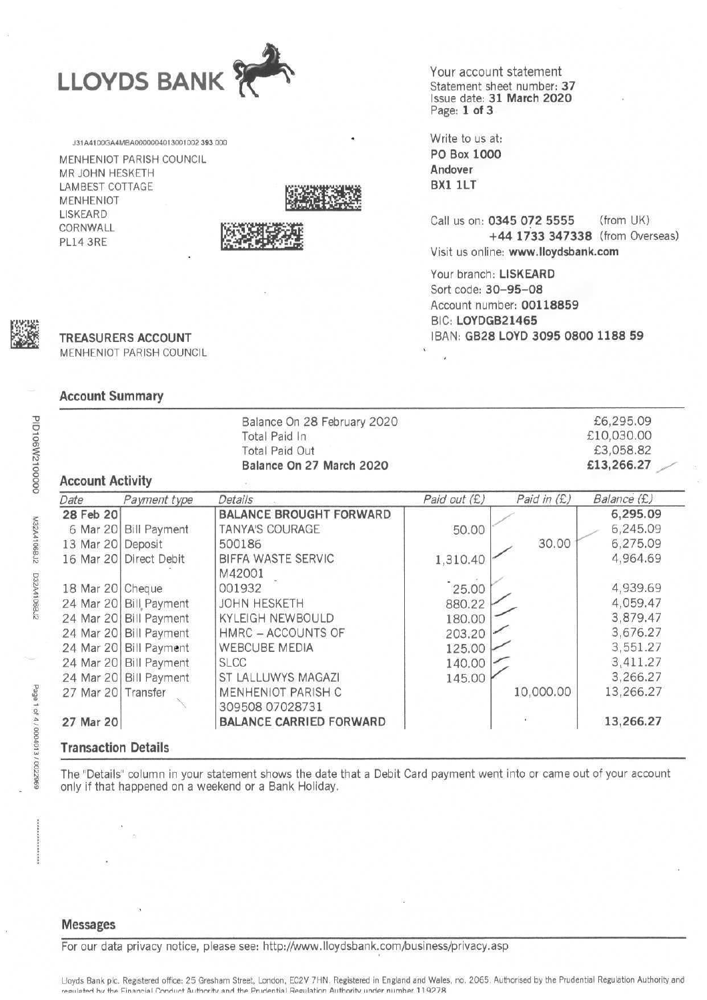

131A4100GA4MBA0000004013001002393.000

MENHENIOT PARISH COUNCIL MR JOHN HESKETH **LAMBEST COTTAGE MENHENIOT LISKEARD** CORNWALL PL14 3RE





Your account statement Statement sheet number: 37 Issue date: 31 March 2020 Page: 1 of 3

Write to us at: PO Box 1000 Andover BX1 1LT

Call us on: 0345 072 5555 (from UK) +44 1733 347338 (from Overseas) Visit us online: www.lloydsbank.com

Your branch: LISKEARD Sort code: 30-95-08 Account number: 00118859 BIC: LOYDGB21465 IBAN: GB28 LOYD 3095 0800 1188 59



PID106W2100000

M32A4106BJ2 D32A4106BJ2

Page 1 of 4 / 0004013 / 0022969

# **TREASURERS ACCOUNT**

MENHENIOT PARISH COUNCIL

#### **Account Summary**

|                         |                        | Balance On 28 February 2020<br>Total Paid In<br><b>Total Paid Out</b><br>Balance On 27 March 2020 |              |             | £6,295.09<br>£10,030.00<br>£3,058.82<br>£13,266.27 |
|-------------------------|------------------------|---------------------------------------------------------------------------------------------------|--------------|-------------|----------------------------------------------------|
| <b>Account Activity</b> |                        |                                                                                                   |              |             |                                                    |
| Date                    | Payment type           | Details                                                                                           | Paid out (£) | Paid in (£) | Balance (£)                                        |
| 28 Feb 20               |                        | <b>BALANCE BROUGHT FORWARD</b>                                                                    |              |             | 6,295.09                                           |
| 6 Mar 20                | <b>Bill Payment</b>    | <b>TANYA'S COURAGE</b>                                                                            | 50.00        |             | 6,245.09                                           |
| 13 Mar 20               | Deposit                | 500186                                                                                            |              | 30.00       | 6,275.09                                           |
| 16 Mar 20               | Direct Debit           | BIFFA WASTE SERVIC<br>M42001                                                                      | 1,310.40     |             | 4,964.69                                           |
| 18 Mar 20 Cheque        |                        | 001932                                                                                            | 25.00        |             | 4,939.69                                           |
| 24 Mar 20               | <b>Bill Payment</b>    | <b>JOHN HESKETH</b>                                                                               | 880.22       |             | 4,059.47                                           |
|                         | 24 Mar 20 Bill Payment | <b>KYLEIGH NEWBOULD</b>                                                                           | 180.00       |             | 3,879.47                                           |
|                         | 24 Mar 20 Bill Payment | HMRC - ACCOUNTS OF                                                                                | 203.20       |             | 3,676.27                                           |
|                         | 24 Mar 20 Bill Payment | <b>WEBCUBE MEDIA</b>                                                                              | 125.00       |             | 3,551.27                                           |
|                         | 24 Mar 20 Bill Payment | <b>SLCC</b>                                                                                       | 140.00       |             | 3,411.27                                           |
|                         | 24 Mar 20 Bill Payment | ST LALLUWYS MAGAZI                                                                                | 145.00       |             | 3,266.27                                           |
| 27 Mar 20 Transfer      |                        | MENHENIOT PARISH C<br>309508 07028731                                                             |              | 10,000.00   | 13,266.27                                          |
| 27 Mar 20               |                        | <b>BALANCE CARRIED FORWARD</b>                                                                    |              |             | 13,266.27                                          |

The "Details" column in your statement shows the date that a Debit Card payment went into or came out of your account only if that happened on a weekend or a Bank Holiday.

#### **Messages**

For our data privacy notice, please see: http://www.lloydsbank.com/business/privacy.asp

Lloyds Bank plc. Registered office: 25 Gresham Street, London, EC2V 7HN. Registered in England and Wales, no. 2065. Authorised by the Prudential Regulation Authority and requiated by the Financial Conduct Authority and the Prudential Requiation Authority under number 119278.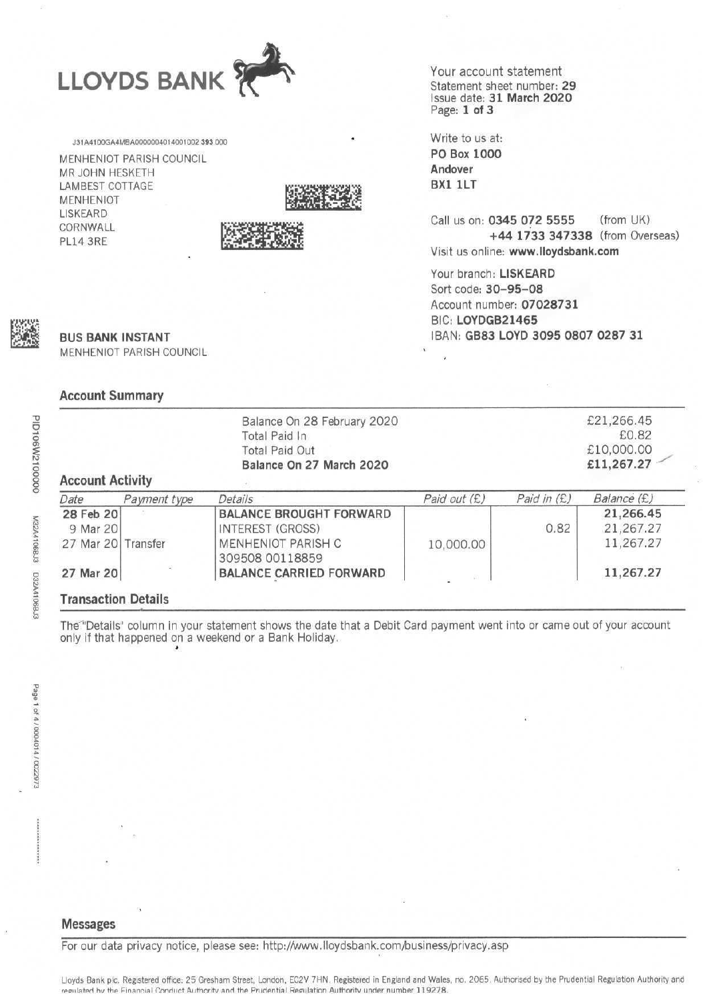

131A4100GA4MBA0000004014001002 393 000

MENHENIOT PARISH COUNCIL MR JOHN HESKETH **LAMBEST COTTAGE MENHENIOT LISKEARD** CORNWALL **PL14 3RE** 





Your account statement Statement sheet number: 29 Issue date: 31 March 2020 Page: 1 of 3

Write to us at: PO Box 1000 Andover BX1 1LT

(from UK) Call us on: 0345 072 5555 +44 1733 347338 (from Overseas) Visit us online: www.lloydsbank.com

Your branch: LISKEARD Sort code: 30-95-08 Account number: 07028731 BIC: LOYDGB21465 IBAN: GB83 LOYD 3095 0807 0287 31

PID106W2100000

M32A4106BJ3 D32A4106BJ3

**BUS BANK INSTANT** MENHENIOT PARISH COUNCIL

#### **Account Summary**

| <b>Account Activity</b> |              | Balance On 28 February 2020<br>Total Paid In<br><b>Total Paid Out</b><br>Balance On 27 March 2020 |              |             | £21,266.45<br>£0.82<br>£10,000.00<br>£11,267.27 |
|-------------------------|--------------|---------------------------------------------------------------------------------------------------|--------------|-------------|-------------------------------------------------|
| Date                    | Payment type | Details                                                                                           | Paid out (£) | Paid in (£) | Balance (£)                                     |
| 28 Feb 20               |              | <b>BALANCE BROUGHT FORWARD</b>                                                                    |              |             | 21,266.45                                       |
| 9 Mar 20                |              | INTEREST (GROSS)                                                                                  |              | 0.82        | 21,267.27                                       |
| 27 Mar 20 Transfer      |              | MENHENIOT PARISH C<br>309508 00118859                                                             | 10,000.00    |             | 11,267.27                                       |
| 27 Mar 20               |              | <b>BALANCE CARRIED FORWARD</b>                                                                    |              |             | 11,267.27                                       |

The "Details" column in your statement shows the date that a Debit Card payment went into or came out of your account only if that happened on a weekend or a Bank Holiday.

#### **Messages**

For our data privacy notice, please see: http://www.lloydsbank.com/business/privacy.asp

Lloyds Bank plc. Registered office: 25 Gresham Street, London, EC2V 7HN. Registered in England and Wales, no. 2065. Authorised by the Prudential Regulation Authority and regulated by the Financial Conduct Authority and the Prudential Regulation Authority under number 119278.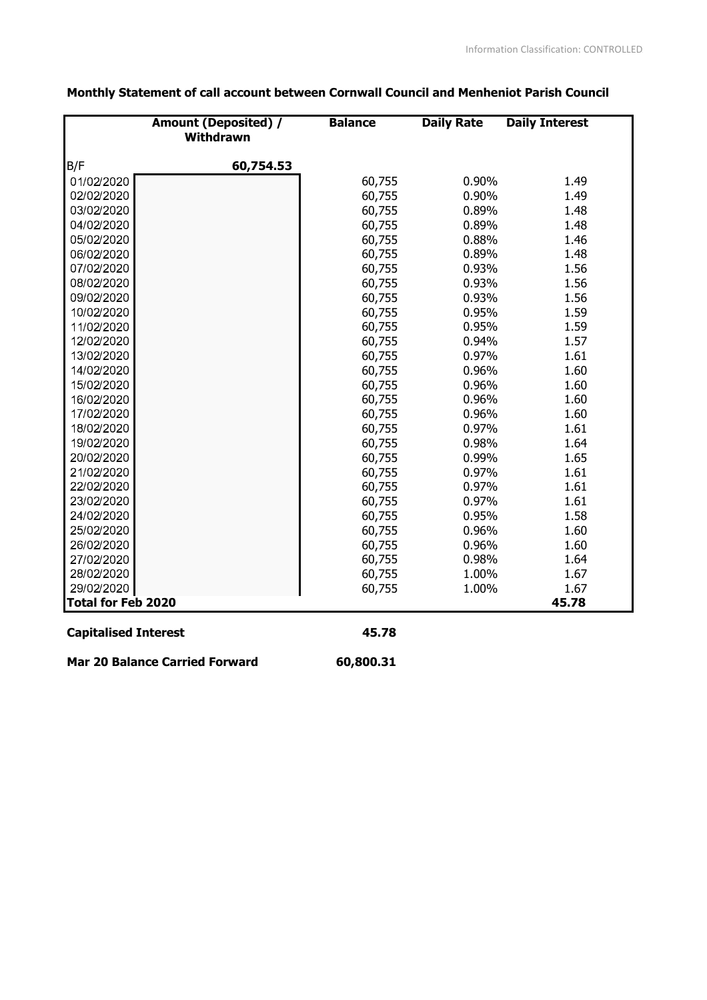|                           | <b>Amount (Deposited) /</b><br>Withdrawn | <b>Balance</b> | <b>Daily Rate</b> | <b>Daily Interest</b> |
|---------------------------|------------------------------------------|----------------|-------------------|-----------------------|
| B/F                       | 60,754.53                                |                |                   |                       |
| 01/02/2020                |                                          | 60,755         | 0.90%             | 1.49                  |
| 02/02/2020                |                                          | 60,755         | 0.90%             | 1.49                  |
| 03/02/2020                |                                          | 60,755         | 0.89%             | 1.48                  |
| 04/02/2020                |                                          | 60,755         | 0.89%             | 1.48                  |
| 05/02/2020                |                                          | 60,755         | 0.88%             | 1.46                  |
| 06/02/2020                |                                          | 60,755         | 0.89%             | 1.48                  |
| 07/02/2020                |                                          | 60,755         | 0.93%             | 1.56                  |
| 08/02/2020                |                                          | 60,755         | 0.93%             | 1.56                  |
| 09/02/2020                |                                          | 60,755         | 0.93%             | 1.56                  |
| 10/02/2020                |                                          | 60,755         | 0.95%             | 1.59                  |
| 11/02/2020                |                                          | 60,755         | 0.95%             | 1.59                  |
| 12/02/2020                |                                          | 60,755         | 0.94%             | 1.57                  |
| 13/02/2020                |                                          | 60,755         | 0.97%             | 1.61                  |
| 14/02/2020                |                                          | 60,755         | 0.96%             | 1.60                  |
| 15/02/2020                |                                          | 60,755         | 0.96%             | 1.60                  |
| 16/02/2020                |                                          | 60,755         | 0.96%             | 1.60                  |
| 17/02/2020                |                                          | 60,755         | 0.96%             | 1.60                  |
| 18/02/2020                |                                          | 60,755         | 0.97%             | 1.61                  |
| 19/02/2020                |                                          | 60,755         | 0.98%             | 1.64                  |
| 20/02/2020                |                                          | 60,755         | 0.99%             | 1.65                  |
| 21/02/2020                |                                          | 60,755         | 0.97%             | 1.61                  |
| 22/02/2020                |                                          | 60,755         | 0.97%             | 1.61                  |
| 23/02/2020                |                                          | 60,755         | 0.97%             | 1.61                  |
| 24/02/2020                |                                          | 60,755         | 0.95%             | 1.58                  |
| 25/02/2020                |                                          | 60,755         | 0.96%             | 1.60                  |
| 26/02/2020                |                                          | 60,755         | 0.96%             | 1.60                  |
| 27/02/2020                |                                          | 60,755         | 0.98%             | 1.64                  |
| 28/02/2020                |                                          | 60,755         | 1.00%             | 1.67                  |
| 29/02/2020                |                                          | 60,755         | 1.00%             | 1.67                  |
| <b>Total for Feb 2020</b> |                                          |                |                   | 45.78                 |

## Monthly Statement of call account between Cornwall Council and Menheniot Parish Council

## **Capitalised Interest**

45.78

**Mar 20 Balance Carried Forward** 

60,800.31